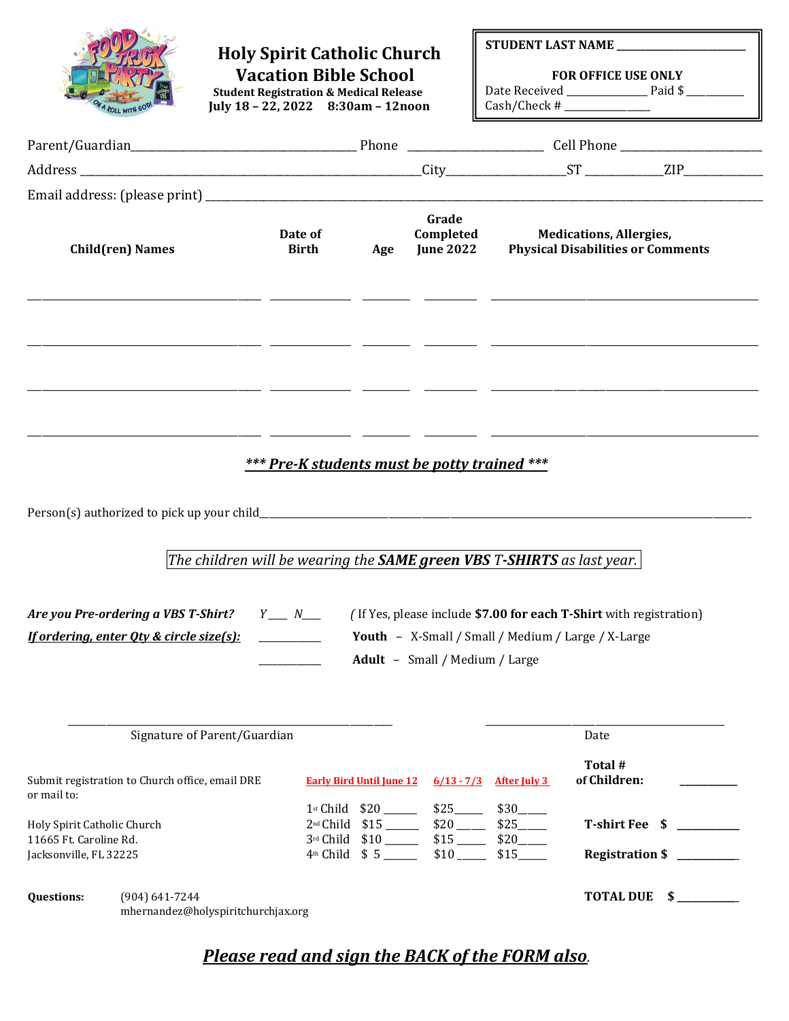|                                                                                 |                                                                                 | <b>Holy Spirit Catholic Church</b><br><b>Vacation Bible School</b><br><b>Student Registration &amp; Medical Release</b><br>July 18 - 22, 2022 8:30am - 12noon |              |                                                                        |                                                          |                                                                                                                                                                   | <b>FOR OFFICE USE ONLY</b>                                                 | STUDENT LAST NAME ______________________ |
|---------------------------------------------------------------------------------|---------------------------------------------------------------------------------|---------------------------------------------------------------------------------------------------------------------------------------------------------------|--------------|------------------------------------------------------------------------|----------------------------------------------------------|-------------------------------------------------------------------------------------------------------------------------------------------------------------------|----------------------------------------------------------------------------|------------------------------------------|
|                                                                                 |                                                                                 |                                                                                                                                                               |              |                                                                        |                                                          |                                                                                                                                                                   |                                                                            |                                          |
|                                                                                 |                                                                                 |                                                                                                                                                               |              |                                                                        |                                                          |                                                                                                                                                                   |                                                                            |                                          |
|                                                                                 | <b>Child(ren) Names</b>                                                         | Date of                                                                                                                                                       | <b>Birth</b> | Age                                                                    | Grade<br>Completed<br><b>June 2022</b>                   |                                                                                                                                                                   | <b>Medications, Allergies,</b><br><b>Physical Disabilities or Comments</b> |                                          |
|                                                                                 |                                                                                 |                                                                                                                                                               |              |                                                                        |                                                          | *** Pre-K students must be potty trained ***                                                                                                                      |                                                                            |                                          |
|                                                                                 | Are you Pre-ordering a VBS T-Shirt?<br>If ordering, enter Qty & circle size(s): | The children will be wearing the <b>SAME green VBS T-SHIRTS</b> as last year.<br>$Y \_ N \_$                                                                  |              |                                                                        |                                                          | (If Yes, please include \$7.00 for each T-Shirt with registration)<br><b>Youth - X-Small / Small / Medium / Large / X-Large</b><br>Adult - Small / Medium / Large |                                                                            |                                          |
|                                                                                 |                                                                                 | Signature of Parent/Guardian                                                                                                                                  |              |                                                                        |                                                          |                                                                                                                                                                   | Date                                                                       |                                          |
| or mail to:                                                                     | Submit registration to Church office, email DRE                                 |                                                                                                                                                               |              | <b>Early Bird Until June 12</b>                                        | $6/13 - 7/3$                                             | <b>After July 3</b>                                                                                                                                               | Total #<br>of Children:                                                    |                                          |
| Holy Spirit Catholic Church<br>11665 Ft. Caroline Rd.<br>Jacksonville, FL 32225 |                                                                                 |                                                                                                                                                               | 3rd Child    | 1st Child \$20<br>2 <sup>nd</sup> Child \$15<br>$4th$ Child $$5$ _____ | \$25<br>$$15$ <sub>_____</sub><br>$$10$ <sub>_____</sub> | $$30$ <sub>——</sub><br>\$15                                                                                                                                       | T-shirt Fee \$                                                             | Registration \$                          |
| <b>Questions:</b>                                                               | $(904) 641 - 7244$                                                              | mhernandez@holyspiritchurchjax.org                                                                                                                            |              |                                                                        |                                                          |                                                                                                                                                                   |                                                                            | TOTAL DUE $\quad \quad \text{S}$         |

## *Please read and sign the BACK of the FORM also.*